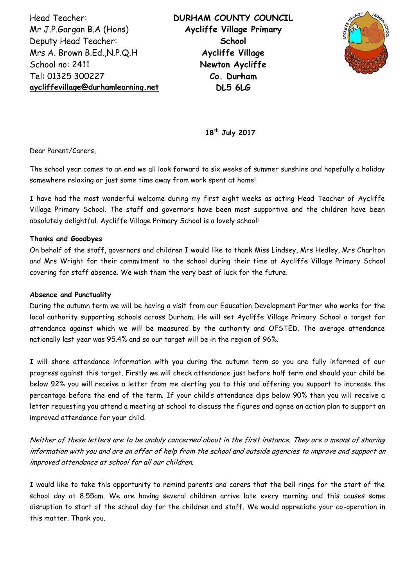Head Teacher: Mr J.P.Gargan B.A (Hons) Deputy Head Teacher: Mrs A. Brown B.Ed.,N.P.Q.H School no: 2411 Tel: 01325 300227 **[aycliffevillage@durhamlearning.net](mailto:aycliffevillage@durhamlearning.net)** **DURHAM COUNTY COUNCIL Aycliffe Village Primary School Aycliffe Village Newton Aycliffe Co. Durham DL5 6LG**



**18th July 2017**

Dear Parent/Carers,

The school year comes to an end we all look forward to six weeks of summer sunshine and hopefully a holiday somewhere relaxing or just some time away from work spent at home!

I have had the most wonderful welcome during my first eight weeks as acting Head Teacher of Aycliffe Village Primary School. The staff and governors have been most supportive and the children have been absolutely delightful. Aycliffe Village Primary School is a lovely school!

## **Thanks and Goodbyes**

On behalf of the staff, governors and children I would like to thank Miss Lindsey, Mrs Hedley, Mrs Charlton and Mrs Wright for their commitment to the school during their time at Aycliffe Village Primary School covering for staff absence. We wish them the very best of luck for the future.

#### **Absence and Punctuality**

During the autumn term we will be having a visit from our Education Development Partner who works for the local authority supporting schools across Durham. He will set Aycliffe Village Primary School a target for attendance against which we will be measured by the authority and OFSTED. The average attendance nationally last year was 95.4% and so our target will be in the region of 96%.

I will share attendance information with you during the autumn term so you are fully informed of our progress against this target. Firstly we will check attendance just before half term and should your child be below 92% you will receive a letter from me alerting you to this and offering you support to increase the percentage before the end of the term. If your child's attendance dips below 90% then you will receive a letter requesting you attend a meeting at school to discuss the figures and agree an action plan to support an improved attendance for your child.

Neither of these letters are to be unduly concerned about in the first instance. They are a means of sharing information with you and are an offer of help from the school and outside agencies to improve and support an improved attendance at school for all our children.

I would like to take this opportunity to remind parents and carers that the bell rings for the start of the school day at 8.55am. We are having several children arrive late every morning and this causes some disruption to start of the school day for the children and staff. We would appreciate your co-operation in this matter. Thank you.